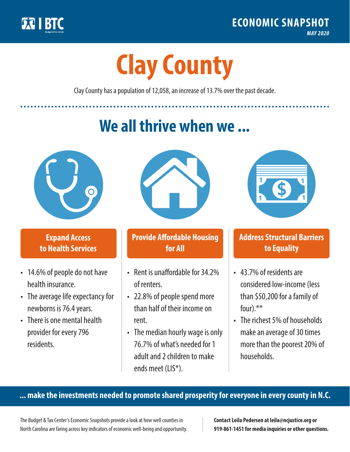

**1**

# **Clay County**

Clay County has a population of 12,058, an increase of 13.7% over the past decade.

# **We all thrive when we ...**



**\$ <sup>1</sup>**

**\$ <sup>1</sup>**

#### **Expand Access to Health Services**

- 14.6% of people do not have health insurance.
- The average life expectancy for newborns is 76.4 years.
- There is one mental health provider for every 796 residents.



## **Provide Affordable Housing for All**

- Rent is unaffordable for 34 2% of renters.
- 22.8% of people spend more than half of their income on rent.
- The median hourly wage is only 76.7% of what's needed for 1 adult and 2 children to make ends meet (LIS\*).



## **Address Structural Barriers to Equality**

- 43.7% of residents are considered low-income (less than \$50,200 for a family of four).\*\*
- The richest 5% of households make an average of 30 times more than the poorest 20% of households.

#### **... make the investments needed to promote shared prosperity for everyone in every county in N.C.**

The Budget & Tax Center's Economic Snapshots provide a look at how well counties in North Carolina are faring across key indicators of economic well-being and opportunity.